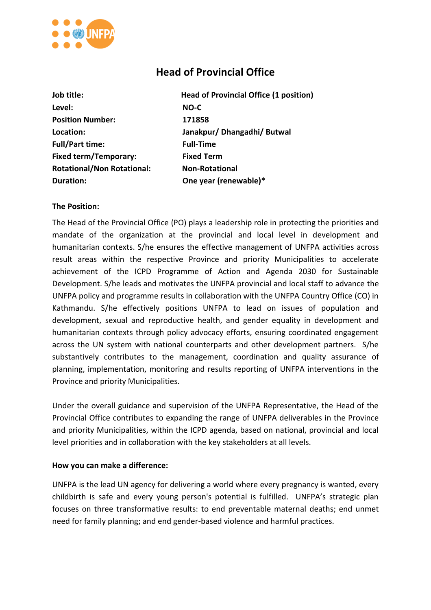

# **Head of Provincial Office**

| Job title:                        | <b>Head of Provincial Office (1 position)</b> |
|-----------------------------------|-----------------------------------------------|
| Level:                            | NO-C                                          |
| <b>Position Number:</b>           | 171858                                        |
| Location:                         | Janakpur/ Dhangadhi/ Butwal                   |
| <b>Full/Part time:</b>            | <b>Full-Time</b>                              |
| <b>Fixed term/Temporary:</b>      | <b>Fixed Term</b>                             |
| <b>Rotational/Non Rotational:</b> | <b>Non-Rotational</b>                         |
| <b>Duration:</b>                  | One year (renewable)*                         |

#### **The Position:**

The Head of the Provincial Office (PO) plays a leadership role in protecting the priorities and mandate of the organization at the provincial and local level in development and humanitarian contexts. S/he ensures the effective management of UNFPA activities across result areas within the respective Province and priority Municipalities to accelerate achievement of the ICPD Programme of Action and Agenda 2030 for Sustainable Development. S/he leads and motivates the UNFPA provincial and local staff to advance the UNFPA policy and programme results in collaboration with the UNFPA Country Office (CO) in Kathmandu. S/he effectively positions UNFPA to lead on issues of population and development, sexual and reproductive health, and gender equality in development and humanitarian contexts through policy advocacy efforts, ensuring coordinated engagement across the UN system with national counterparts and other development partners. S/he substantively contributes to the management, coordination and quality assurance of planning, implementation, monitoring and results reporting of UNFPA interventions in the Province and priority Municipalities.

Under the overall guidance and supervision of the UNFPA Representative, the Head of the Provincial Office contributes to expanding the range of UNFPA deliverables in the Province and priority Municipalities, within the ICPD agenda, based on national, provincial and local level priorities and in collaboration with the key stakeholders at all levels.

#### **How you can make a difference:**

UNFPA is the lead UN agency for delivering a world where every pregnancy is wanted, every childbirth is safe and every young person's potential is fulfilled. UNFPA's strategic plan focuses on three transformative results: to end preventable maternal deaths; end unmet need for family planning; and end gender-based violence and harmful practices.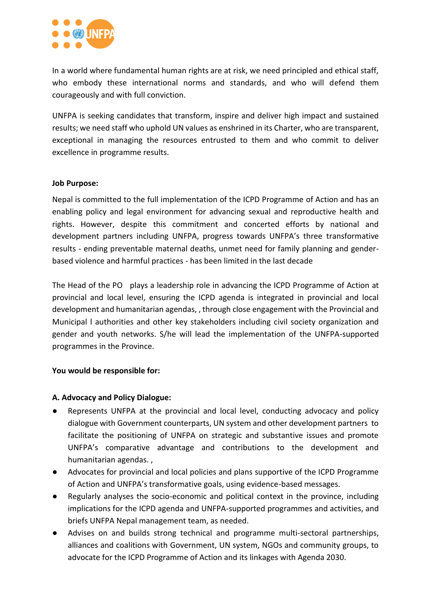

In a world where fundamental human rights are at risk, we need principled and ethical staff, who embody these international norms and standards, and who will defend them courageously and with full conviction.

UNFPA is seeking candidates that transform, inspire and deliver high impact and sustained results; we need staff who uphold UN values as enshrined in its Charter, who are transparent, exceptional in managing the resources entrusted to them and who commit to deliver excellence in programme results.

#### **Job Purpose:**

Nepal is committed to the full implementation of the ICPD Programme of Action and has an enabling policy and legal environment for advancing sexual and reproductive health and rights. However, despite this commitment and concerted efforts by national and development partners including UNFPA, progress towards UNFPA's three transformative results - ending preventable maternal deaths, unmet need for family planning and genderbased violence and harmful practices - has been limited in the last decade

The Head of the PO plays a leadership role in advancing the ICPD Programme of Action at provincial and local level, ensuring the ICPD agenda is integrated in provincial and local development and humanitarian agendas, , through close engagement with the Provincial and Municipal l authorities and other key stakeholders including civil society organization and gender and youth networks. S/he will lead the implementation of the UNFPA-supported programmes in the Province.

# **You would be responsible for:**

# **A. Advocacy and Policy Dialogue:**

- Represents UNFPA at the provincial and local level, conducting advocacy and policy dialogue with Government counterparts, UN system and other development partners to facilitate the positioning of UNFPA on strategic and substantive issues and promote UNFPA's comparative advantage and contributions to the development and humanitarian agendas. ,
- Advocates for provincial and local policies and plans supportive of the ICPD Programme of Action and UNFPA's transformative goals, using evidence-based messages.
- Regularly analyses the socio-economic and political context in the province, including implications for the ICPD agenda and UNFPA-supported programmes and activities, and briefs UNFPA Nepal management team, as needed.
- Advises on and builds strong technical and programme multi-sectoral partnerships, alliances and coalitions with Government, UN system, NGOs and community groups, to advocate for the ICPD Programme of Action and its linkages with Agenda 2030.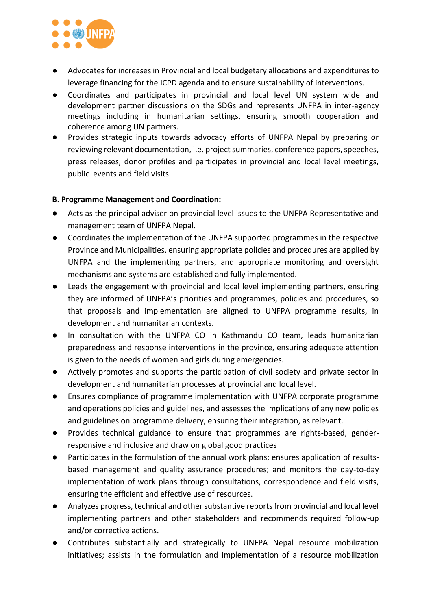

- Advocates for increases in Provincial and local budgetary allocations and expenditures to leverage financing for the ICPD agenda and to ensure sustainability of interventions.
- Coordinates and participates in provincial and local level UN system wide and development partner discussions on the SDGs and represents UNFPA in inter-agency meetings including in humanitarian settings, ensuring smooth cooperation and coherence among UN partners.
- Provides strategic inputs towards advocacy efforts of UNFPA Nepal by preparing or reviewing relevant documentation, i.e. project summaries, conference papers, speeches, press releases, donor profiles and participates in provincial and local level meetings, public events and field visits.

#### **B**. **Programme Management and Coordination:**

- Acts as the principal adviser on provincial level issues to the UNFPA Representative and management team of UNFPA Nepal.
- Coordinates the implementation of the UNFPA supported programmes in the respective Province and Municipalities, ensuring appropriate policies and procedures are applied by UNFPA and the implementing partners, and appropriate monitoring and oversight mechanisms and systems are established and fully implemented.
- Leads the engagement with provincial and local level implementing partners, ensuring they are informed of UNFPA's priorities and programmes, policies and procedures, so that proposals and implementation are aligned to UNFPA programme results, in development and humanitarian contexts.
- In consultation with the UNFPA CO in Kathmandu CO team, leads humanitarian preparedness and response interventions in the province, ensuring adequate attention is given to the needs of women and girls during emergencies.
- Actively promotes and supports the participation of civil society and private sector in development and humanitarian processes at provincial and local level.
- Ensures compliance of programme implementation with UNFPA corporate programme and operations policies and guidelines, and assesses the implications of any new policies and guidelines on programme delivery, ensuring their integration, as relevant.
- Provides technical guidance to ensure that programmes are rights-based, genderresponsive and inclusive and draw on global good practices
- Participates in the formulation of the annual work plans; ensures application of resultsbased management and quality assurance procedures; and monitors the day-to-day implementation of work plans through consultations, correspondence and field visits, ensuring the efficient and effective use of resources.
- Analyzes progress, technical and other substantive reports from provincial and local level implementing partners and other stakeholders and recommends required follow-up and/or corrective actions.
- Contributes substantially and strategically to UNFPA Nepal resource mobilization initiatives; assists in the formulation and implementation of a resource mobilization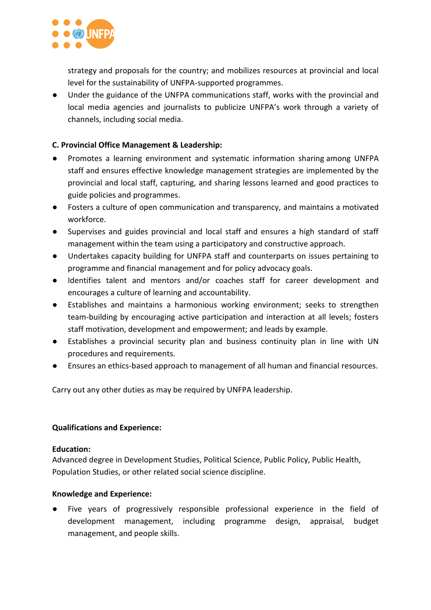

strategy and proposals for the country; and mobilizes resources at provincial and local level for the sustainability of UNFPA-supported programmes.

● Under the guidance of the UNFPA communications staff, works with the provincial and local media agencies and journalists to publicize UNFPA's work through a variety of channels, including social media.

# **C. Provincial Office Management & Leadership:**

- Promotes a learning environment and systematic information sharing among UNFPA staff and ensures effective knowledge management strategies are implemented by the provincial and local staff, capturing, and sharing lessons learned and good practices to guide policies and programmes.
- Fosters a culture of open communication and transparency, and maintains a motivated workforce.
- Supervises and guides provincial and local staff and ensures a high standard of staff management within the team using a participatory and constructive approach.
- Undertakes capacity building for UNFPA staff and counterparts on issues pertaining to programme and financial management and for policy advocacy goals.
- Identifies talent and mentors and/or coaches staff for career development and encourages a culture of learning and accountability.
- Establishes and maintains a harmonious working environment; seeks to strengthen team-building by encouraging active participation and interaction at all levels; fosters staff motivation, development and empowerment; and leads by example.
- Establishes a provincial security plan and business continuity plan in line with UN procedures and requirements.
- Ensures an ethics-based approach to management of all human and financial resources.

Carry out any other duties as may be required by UNFPA leadership.

# **Qualifications and Experience:**

#### **Education:**

Advanced degree in Development Studies, Political Science, Public Policy, Public Health, Population Studies, or other related social science discipline.

# **Knowledge and Experience:**

Five years of progressively responsible professional experience in the field of development management, including programme design, appraisal, budget management, and people skills.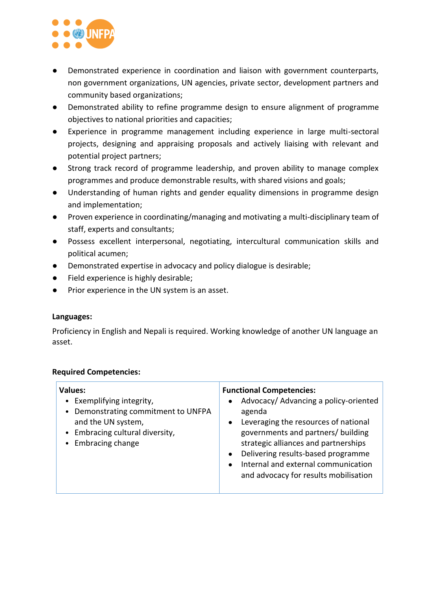

- Demonstrated experience in coordination and liaison with government counterparts, non government organizations, UN agencies, private sector, development partners and community based organizations;
- Demonstrated ability to refine programme design to ensure alignment of programme objectives to national priorities and capacities;
- Experience in programme management including experience in large multi-sectoral projects, designing and appraising proposals and actively liaising with relevant and potential project partners;
- Strong track record of programme leadership, and proven ability to manage complex programmes and produce demonstrable results, with shared visions and goals;
- Understanding of human rights and gender equality dimensions in programme design and implementation;
- Proven experience in coordinating/managing and motivating a multi-disciplinary team of staff, experts and consultants;
- Possess excellent interpersonal, negotiating, intercultural communication skills and political acumen;
- Demonstrated expertise in advocacy and policy dialogue is desirable;
- Field experience is highly desirable;
- Prior experience in the UN system is an asset.

# **Languages:**

Proficiency in English and Nepali is required. Working knowledge of another UN language an asset.

# **Required Competencies:**

| <b>Values:</b><br>Exemplifying integrity,<br>$\bullet$<br>Demonstrating commitment to UNFPA<br>and the UN system,<br>• Embracing cultural diversity,<br>• Embracing change | <b>Functional Competencies:</b><br>Advocacy/ Advancing a policy-oriented<br>$\bullet$<br>agenda<br>Leveraging the resources of national<br>$\bullet$<br>governments and partners/ building<br>strategic alliances and partnerships<br>Delivering results-based programme<br>$\bullet$<br>Internal and external communication<br>$\bullet$<br>and advocacy for results mobilisation |
|----------------------------------------------------------------------------------------------------------------------------------------------------------------------------|------------------------------------------------------------------------------------------------------------------------------------------------------------------------------------------------------------------------------------------------------------------------------------------------------------------------------------------------------------------------------------|
|                                                                                                                                                                            |                                                                                                                                                                                                                                                                                                                                                                                    |